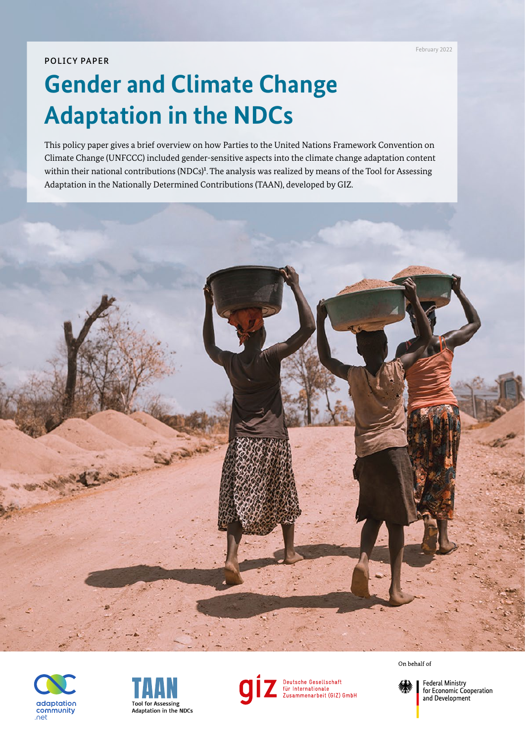## POLICY PAPER

# **Gender and Climate Change Adaptation in the NDCs**

This policy paper gives a brief overview on how Parties to the United Nations Framework Convention on Climate Change (UNFCCC) included gender-sensitive aspects into the climate change adaptation content within their national contributions (NDCs)<sup>1</sup>. The analysis was realized by means of the Tool for Assessing Adaptation in the Nationally Determined Contributions (TAAN), developed by GIZ.







Deutsche Gesellschaft<br>für Internationale<br>Zusammenarbeit (GIZ) GmbH

On behalf of



**Federal Ministry** for Economic Cooperation and Development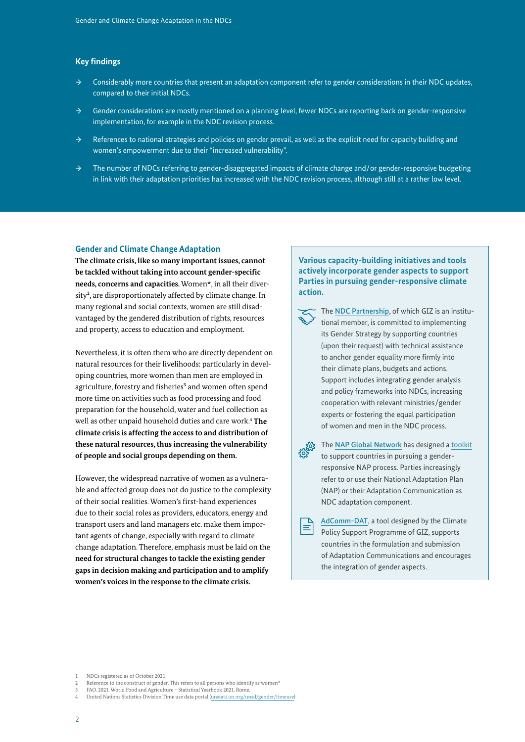## **Key findings**

- $\rightarrow$  Considerably more countries that present an adaptation component refer to gender considerations in their NDC updates, compared to their initial NDCs.
- $\rightarrow$  Gender considerations are mostly mentioned on a planning level, fewer NDCs are reporting back on gender-responsive implementation, for example in the NDC revision process.
- → References to national strategies and policies on gender prevail, as well as the explicit need for capacity building and women's empowerment due to their "increased vulnerability".
- → The number of NDCs referring to gender-disaggregated impacts of climate change and/or gender-responsive budgeting in link with their adaptation priorities has increased with the NDC revision process, although still at a rather low level.

#### **Gender and Climate Change Adaptation**

**The climate crisis, like so many important issues, cannot be tackled without taking into account gender-specific needs, concerns and capacities.** Women\*, in all their diversity<sup>2</sup>, are disproportionately affected by climate change. In many regional and social contexts, women are still disadvantaged by the gendered distribution of rights, resources and property, access to education and employment.

Nevertheless, it is often them who are directly dependent on natural resources for their livelihoods: particularly in developing countries, more women than men are employed in agriculture, forestry and fisheries<sup>3</sup> and women often spend more time on activities such as food processing and food preparation for the household, water and fuel collection as well as other unpaid household duties and care work.<sup>4</sup> **The climate crisis is affecting the access to and distribution of these natural resources, thus increasing the vulnerability of people and social groups depending on them.**

However, the widespread narrative of women as a vulnerable and affected group does not do justice to the complexity of their social realities. Women's first-hand experiences due to their social roles as providers, educators, energy and transport users and land managers etc. make them important agents of change, especially with regard to climate change adaptation. Therefore, emphasis must be laid on the **need for structural changes to tackle the existing gender gaps in decision making and participation and to amplify women's voices in the response to the climate crisis.**

## **Various capacity-building initiatives and tools actively incorporate gender aspects to support Parties in pursuing gender-responsive climate action.**

- The [NDC Partnership](https://ndcpartnership.org/), of which GIZ is an institutional member, is committed to implementing its Gender Strategy by supporting countries (upon their request) with technical assistance to anchor gender equality more firmly into their climate plans, budgets and actions. Support includes integrating gender analysis and policy frameworks into NDCs, increasing cooperation with relevant ministries/gender experts or fostering the equal participation of women and men in the NDC process.
	- The [NAP Global Network](https://napglobalnetwork.org/resource/toolkit-for-gender-responsive-national-adaptation-plans/) has designed a [toolkit](https://napglobalnetwork.org/resource/toolkit-for-gender-responsive-national-adaptation-plans/) to support countries in pursuing a genderresponsive NAP process. Parties increasingly refer to or use their National Adaptation Plan (NAP) or their Adaptation Communication as NDC adaptation component.
- [AdComm-DAT](https://adcomm-dat.org/), a tool designed by the Climate Ξ Policy Support Programme of GIZ, supports countries in the formulation and submission of Adaptation Communications and encourages the integration of gender aspects.

- 2 Reference to the construct of gender. This refers to all persons who identify as women\*
- 3 FAO. 2021. World Food and Agriculture Statistical Yearbook 2021. Rome.
- 4 United Nations Statistics Division Time use data portal [\(unstats.un.org/unsd/gender/timeuse](https://unstats.un.org/unsd/gender/timeuse/))

<sup>1</sup> NDCs registered as of October 2021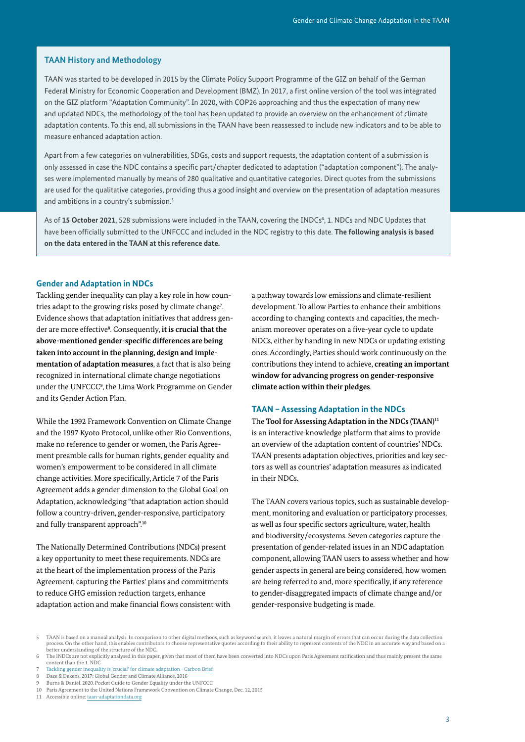## **TAAN History and Methodology**

TAAN was started to be developed in 2015 by the Climate Policy Support Programme of the GIZ on behalf of the German Federal Ministry for Economic Cooperation and Development (BMZ). In 2017, a first online version of the tool was integrated on the GIZ platform "Adaptation Community". In 2020, with COP26 approaching and thus the expectation of many new and updated NDCs, the methodology of the tool has been updated to provide an overview on the enhancement of climate adaptation contents. To this end, all submissions in the TAAN have been reassessed to include new indicators and to be able to measure enhanced adaptation action.

Apart from a few categories on vulnerabilities, SDGs, costs and support requests, the adaptation content of a submission is only assessed in case the NDC contains a specific part/chapter dedicated to adaptation ("adaptation component"). The analyses were implemented manually by means of 280 qualitative and quantitative categories. Direct quotes from the submissions are used for the qualitative categories, providing thus a good insight and overview on the presentation of adaptation measures and ambitions in a country's submission.<sup>5</sup>

As of 15 October 2021, 528 submissions were included in the TAAN, covering the INDCs<sup>6</sup>, 1. NDCs and NDC Updates that have been officially submitted to the UNFCCC and included in the NDC registry to this date. **The following analysis is based on the data entered in the TAAN at this reference date.** 

## **Gender and Adaptation in NDCs**

Tackling gender inequality can play a key role in how countries adapt to the growing risks posed by climate change<sup>7</sup>. Evidence shows that adaptation initiatives that address gender are more effective<sup>8</sup>. Consequently, it is crucial that the **above-mentioned gender-specific differences are being taken into account in the planning, design and implementation of adaptation measures**, a fact that is also being recognized in international climate change negotiations under the UNFCCC<sup>9</sup> , the Lima Work Programme on Gender and its Gender Action Plan.

While the 1992 Framework Convention on Climate Change and the 1997 Kyoto Protocol, unlike other Rio Conventions, make no reference to gender or women, the Paris Agreement preamble calls for human rights, gender equality and women's empowerment to be considered in all climate change activities. More specifically, Article 7 of the Paris Agreement adds a gender dimension to the Global Goal on Adaptation, acknowledging "that adaptation action should follow a country-driven, gender-responsive, participatory and fully transparent approach".<sup>10</sup>

The Nationally Determined Contributions (NDCs) present a key opportunity to meet these requirements. NDCs are at the heart of the implementation process of the Paris Agreement, capturing the Parties' plans and commitments to reduce GHG emission reduction targets, enhance adaptation action and make financial flows consistent with

a pathway towards low emissions and climate-resilient development. To allow Parties to enhance their ambitions according to changing contexts and capacities, the mechanism moreover operates on a five-year cycle to update NDCs, either by handing in new NDCs or updating existing ones. Accordingly, Parties should work continuously on the contributions they intend to achieve, **creating an important window for advancing progress on gender-responsive climate action within their pledges**.

## **TAAN – Assessing Adaptation in the NDCs**

The **Tool for Assessing Adaptation in the NDCs (TAAN)**<sup>11</sup> is an interactive knowledge platform that aims to provide an overview of the adaptation content of countries' NDCs. TAAN presents adaptation objectives, priorities and key sectors as well as countries' adaptation measures as indicated in their NDCs.

The TAAN covers various topics, such as sustainable development, monitoring and evaluation or participatory processes, as well as four specific sectors agriculture, water, health and biodiversity/ecosystems. Seven categories capture the presentation of gender-related issues in an NDC adaptation component, allowing TAAN users to assess whether and how gender aspects in general are being considered, how women are being referred to and, more specifically, if any reference to gender-disaggregated impacts of climate change and/or gender-responsive budgeting is made.

5 TAAN is based on a manual analysis. In comparison to other digital methods, such as keyword search, it leaves a natural margin of errors that can occur during the data collection process. On the other hand, this enables contributors to choose representative quotes according to their ability to represent contents of the NDC in an accurate way and based on a better understanding of the structure of the NDC.

- 7 [Tackling gender inequality is 'crucial' for climate adaptation Carbon Brief](https://www.carbonbrief.org/tackling-gender-inequality-is-crucial-for-climate-adaptation?utm_campaign=Carbon Brief Daily Briefing&utm_content=20201215&utm_medium=email&utm_source=Revue Daily)
- 8 Daze & Dekens, 2017; Global Gender and Climate Alliance, 2016
- 9 Burns & Daniel. 2020. Pocket Guide to Gender Equality under the UNFCCC
- 10 Paris Agreement to the United Nations Framework Convention on Climate Change, Dec. 12, 2015
- 11 Accessible online: [taan-adaptationdata.org](http://www.taan-adaptationdata.org)

<sup>6</sup> The INDCs are not explicitly analysed in this paper, given that most of them have been converted into NDCs upon Paris Agreement ratification and thus mainly present the same content than the 1. NDC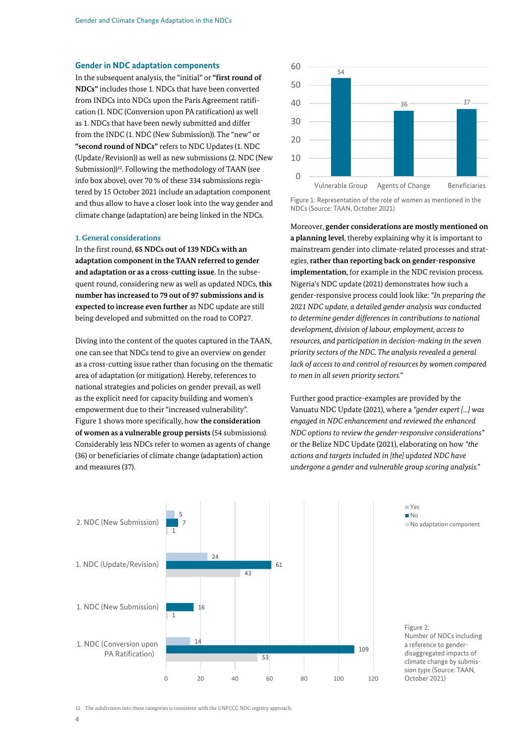## **Gender in NDC adaptation components**

In the subsequent analysis, the "initial" or **"first round of NDCs"** includes those 1. NDCs that have been converted from INDCs into NDCs upon the Paris Agreement ratification (1. NDC (Conversion upon PA ratification) as well as 1. NDCs that have been newly submitted and differ from the INDC (1. NDC (New Submission)). The "new" or **"second round of NDCs"** refers to NDC Updates (1. NDC (Update/Revision)) as well as new submissions (2. NDC (New Submission))<sup>12</sup>. Following the methodology of TAAN (see info box above), over 70 % of these 334 submissions registered by 15 October 2021 include an adaptation component and thus allow to have a closer look into the way gender and climate change (adaptation) are being linked in the NDCs.

#### **1. General considerations**

In the first round, **65 NDCs out of 139 NDCs with an adaptation component in the TAAN referred to gender and adaptation or as a cross-cutting issue.** In the subsequent round, considering new as well as updated NDCs, **this number has increased to 79 out of 97 submissions and is expected to increase even further** as NDC update are still being developed and submitted on the road to COP27.

Diving into the content of the quotes captured in the TAAN, one can see that NDCs tend to give an overview on gender as a cross-cutting issue rather than focusing on the thematic area of adaptation (or mitigation). Hereby, references to national strategies and policies on gender prevail, as well as the explicit need for capacity building and women's Fur empowerment due to their "increased vulnerability". Vanuatu NDC Update (2021), where Figure 1 shows more specifically, how the consideration engaged in NDC enhancement and rev of women as a vulnerable group persists (54 submissions). NDC options to review the gender-resp Considerably less NDCs refer to women as agents of change or the Belize NDC Update (2021), elaborated the Submission of the Belize NDC Update (2021), elaborated the Submission of the Belize NDC Update (2021), elaborated th  $(36)$  or beneficiaries of climate change (adaptation) action  $\frac{1}{\alpha}$  actions and targets in and measures (37).  $(36)$  or beneficiaries of climate change (adaptation) action actions and targets included in [the] up  $\frac{d}{dx}$  and the asures (37). and measures (37). The contraction of the contraction of the contraction of the contraction of the contraction of the contraction of the contraction of the contraction of the contraction of the contraction of the contracti



Figure 1: Representation of the role of women as mentioned in the NDCs (Source: TAAN, October 2021) *Figure 1: Representation of the role of women as mentioned* 

Moreover, **gender considerations are mostly mentioned on a planning level**, thereby explaining why it is important to mainstream gender into climate-related processes and stratmainstream gender into cinnate-reiated processes and strat-<br>egies, **rather than reporting back on gender-responsive implementation**, for example in the NDC revision process. s Nigeria's NDC update (2021) demonstrates how such a extended the component (2022) demonstrates from each dividend no additional component No addition component No A<br>gender-responsive process could look like: *"In preparing the* sions and is a sequen-responsive process could look like. *In preparing the* and the sequence of the sequence of<br>date are still and 2021 NDC update, a detailed gender analysis was conducted to determine gender differences in contributions to national development, division of labour, employment, access to l in the TAAN, *resources, and participation in decision-making in the seven* rin the TAAN, and *resources, and participation in decision-making in the seven*<br>w on gender a general *priority sectors of the NDC. The analysis revealed a general lack of access to and control of resources by women compared* to men in all seven priority sectors." **Concrete projects to strengthen the resilience of**  gender-responsive process could look like: Th preparing the 2. No. 1991, 1992, 1992, 1993, 1994, 1995, 1996, 1997, 1998, 1999, 1999, 1999, 1999, 1999, 1999, 1999, 1999, 1  $\frac{1}{2}$  $\mathbf{s}$  and  $\mathbf{s}$  is a gender-responsive process could look like: Thipreparing the  $1.0027$  to determine gender differences in contributions to national 1. Note that the second of the second contract the second conditions of the second second second second second second second second second second second second second second second second second second second second second aevelopment, aivision of labour, employment, access to  $\sum_{i=1}^{n} a_i$ 1. No. 1. No. 1. No. 1. No. 1. No. 1. No. 1. No. 1. No. 1. No. 1. No. 1. No. 1. No. 1. No. 1. No. 1. No. 1. No aevelopment, alvision of labour, employment, access to

> Further good practice-examples are provided by the Vanuatu NDC Update (2021), where a *"gender expert [...] was*<br>we see also BDC up has a way to a dominant the whome d engaged in NDC enhancement and reviewed the enhanced *NDC options to review the gender-responsive considerations*" or the Belize NDC Update (2021), elaborating on how *"the* agriculture" program with 4 and 4 and 4 and 4 and 4 and 4 and 4 and 4 and 4 and 4 and 4 and 4 and 4 and 4 and 4 and 4 and 4 and 4 and 4 and 4 and 4 and 4 and 4 and actions and targets included in [the] updated NDC have<br>on dimensions per year (with with an university a subject " undergone a gender and vulnerable group scoring analysis.<sup>\*</sup>  $\mathbf{t}_1$  trained per year) to support implementation of  $\mathbf{t}_1$  the support implementation of  $\mathbf{t}_2$  $D$ C O $p$ date (2021), elaborating c



12 The subdivision into these categories is consistent with the UNFCCC NDC registry approach.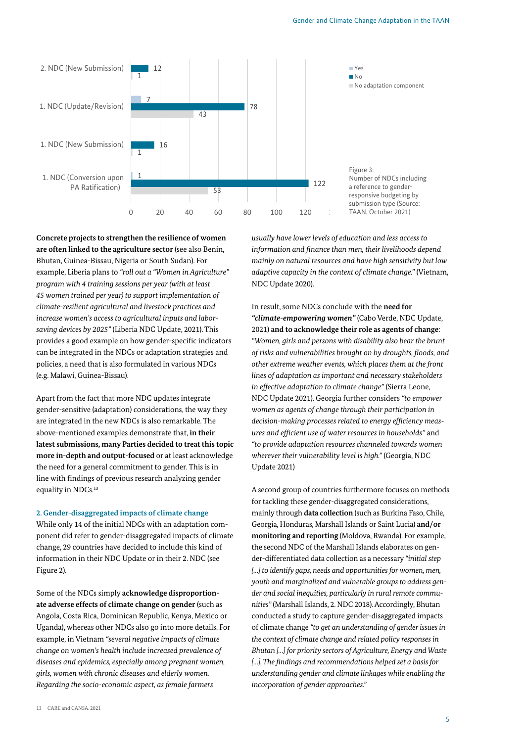

**Concrete projects to strengthen the resilience of women are often linked to the agriculture sector** (see also Benin, Bhutan, Guinea-Bissau, Nigeria or South Sudan). For example, Liberia plans to *"roll out a "Women in Agriculture" program with 4 training sessions per year (with at least 45 women trained per year) to support implementation of climate-resilient agricultural and livestock practices and increase women's access to agricultural inputs and laborsaving devices by 2025"* (Liberia NDC Update, 2021). This provides a good example on how gender-specific indicators can be integrated in the NDCs or adaptation strategies and policies, a need that is also formulated in various NDCs (e.g. Malawi, Guinea-Bissau).  $\frac{1}{2}$  to strangthen the resiliance of women

Apart from the fact that more NDC updates integrate gender-sensitive (adaptation) considerations, the way they are integrated in the new NDCs is also remarkable. The above-mentioned examples demonstrate that, **in their latest submissions, many Parties decided to treat this topic more in-depth and output-focused** or at least acknowledge the need for a general commitment to gender. This is in line with findings of previous research analyzing gender equality in NDCs.<sup>13</sup>

**2. Gender-disaggregated impacts of climate change** While only 14 of the initial NDCs with an adaptation component did refer to gender-disaggregated impacts of climate

change, 29 countries have decided to include this kind of information in their NDC Update or in their 2. NDC (see Figure 2).

Some of the NDCs simply **acknowledge disproportionate adverse effects of climate change on gender** (such as Angola, Costa Rica, Dominican Republic, Kenya, Mexico or Uganda)**,** whereas other NDCs also go into more details. For example, in Vietnam *"several negative impacts of climate change on women's health include increased prevalence of diseases and epidemics, especially among pregnant women, girls, women with chronic diseases and elderly women. Regarding the socio-economic aspect, as female farmers* 

*usually have lower levels of education and less access to information and finance than men, their livelihoods depend mainly on natural resources and have high sensitivity but low adaptive capacity in the context of climate change."* (Vietnam, NDC Update 2020).

In result, some NDCs conclude with the **need for**  *"climate-empowering women"* (Cabo Verde, NDC Update, 2021) **and to acknowledge their role as agents of change**: *"Women, girls and persons with disability also bear the brunt of risks and vulnerabilities brought on by droughts, floods, and other extreme weather events, which places them at the front lines of adaptation as important and necessary stakeholders in effective adaptation to climate change"* (Sierra Leone, NDC Update 2021). Georgia further considers *"to empower women as agents of change through their participation in decision-making processes related to energy efficiency measures and efficient use of water resources in households"* and *"to provide adaptation resources channeled towards women wherever their vulnerability level is high."* (Georgia, NDC Update 2021)

A second group of countries furthermore focuses on methods for tackling these gender-disaggregated considerations, mainly through **data collection** (such as Burkina Faso, Chile, Georgia, Honduras, Marshall Islands or Saint Lucia) **and/or monitoring and reporting** (Moldova, Rwanda). For example, the second NDC of the Marshall Islands elaborates on gender-differentiated data collection as a necessary *"initial step […] to identify gaps, needs and opportunities for women, men, youth and marginalized and vulnerable groups to address gender and social inequities, particularly in rural remote communities"* (Marshall Islands, 2. NDC 2018). Accordingly, Bhutan conducted a study to capture gender-disaggregated impacts of climate change *"to get an understanding of gender issues in the context of climate change and related policy responses in Bhutan […] for priority sectors of Agriculture, Energy and Waste […]. The findings and recommendations helped set a basis for understanding gender and climate linkages while enabling the incorporation of gender approaches."*